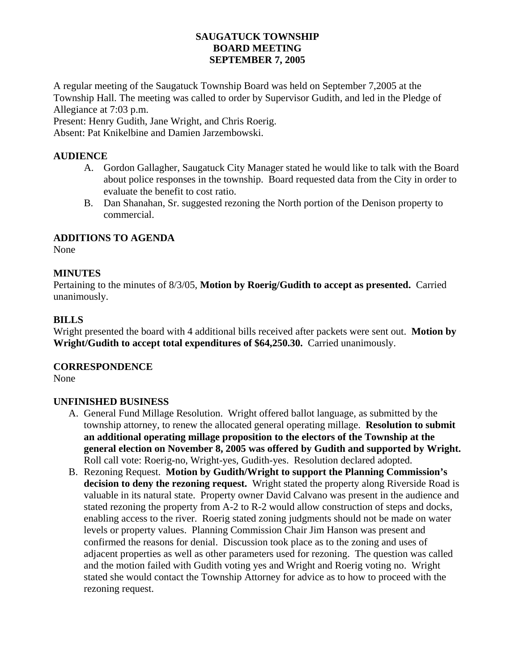# **SAUGATUCK TOWNSHIP BOARD MEETING SEPTEMBER 7, 2005**

A regular meeting of the Saugatuck Township Board was held on September 7,2005 at the Township Hall. The meeting was called to order by Supervisor Gudith, and led in the Pledge of Allegiance at 7:03 p.m.

Present: Henry Gudith, Jane Wright, and Chris Roerig.

Absent: Pat Knikelbine and Damien Jarzembowski.

# **AUDIENCE**

- A. Gordon Gallagher, Saugatuck City Manager stated he would like to talk with the Board about police responses in the township. Board requested data from the City in order to evaluate the benefit to cost ratio.
- B. Dan Shanahan, Sr. suggested rezoning the North portion of the Denison property to commercial.

# **ADDITIONS TO AGENDA**

None

# **MINUTES**

Pertaining to the minutes of 8/3/05, **Motion by Roerig/Gudith to accept as presented.** Carried unanimously.

# **BILLS**

Wright presented the board with 4 additional bills received after packets were sent out. **Motion by Wright/Gudith to accept total expenditures of \$64,250.30.** Carried unanimously.

**CORRESPONDENCE**

None

# **UNFINISHED BUSINESS**

- A. General Fund Millage Resolution. Wright offered ballot language, as submitted by the township attorney, to renew the allocated general operating millage. **Resolution to submit an additional operating millage proposition to the electors of the Township at the general election on November 8, 2005 was offered by Gudith and supported by Wright.** Roll call vote: Roerig-no, Wright-yes, Gudith-yes. Resolution declared adopted.
- B. Rezoning Request. **Motion by Gudith/Wright to support the Planning Commission's decision to deny the rezoning request.** Wright stated the property along Riverside Road is valuable in its natural state. Property owner David Calvano was present in the audience and stated rezoning the property from A-2 to R-2 would allow construction of steps and docks, enabling access to the river. Roerig stated zoning judgments should not be made on water levels or property values. Planning Commission Chair Jim Hanson was present and confirmed the reasons for denial. Discussion took place as to the zoning and uses of adjacent properties as well as other parameters used for rezoning. The question was called and the motion failed with Gudith voting yes and Wright and Roerig voting no. Wright stated she would contact the Township Attorney for advice as to how to proceed with the rezoning request.